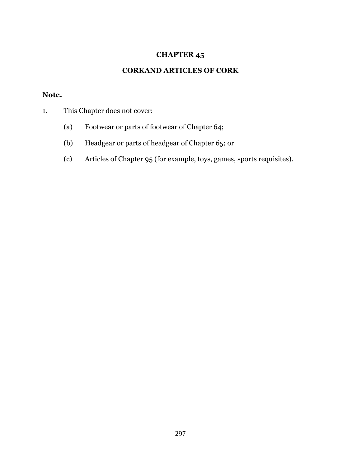## **CHAPTER 45**

## **CORKAND ARTICLES OF CORK**

## **Note.**

- 1. This Chapter does not cover:
	- (a) Footwear or parts of footwear of Chapter 64;
	- (b) Headgear or parts of headgear of Chapter 65; or
	- (c) Articles of Chapter 95 (for example, toys, games, sports requisites).